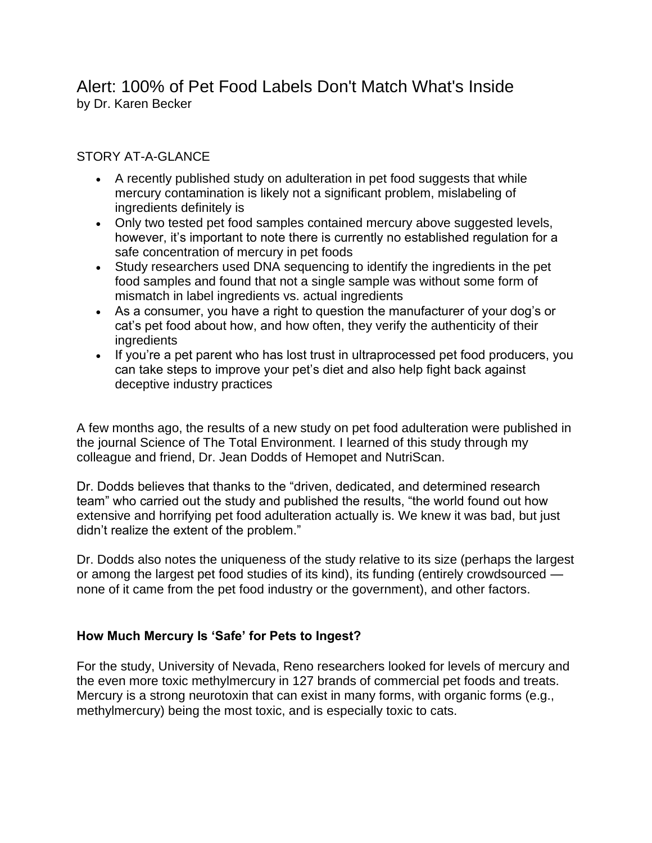# Alert: 100% of Pet Food Labels Don't Match What's Inside by Dr. Karen Becker

## STORY AT-A-GLANCE

- A recently published study on adulteration in pet food suggests that while mercury contamination is likely not a significant problem, mislabeling of ingredients definitely is
- Only two tested pet food samples contained mercury above suggested levels, however, it's important to note there is currently no established regulation for a safe concentration of mercury in pet foods
- Study researchers used DNA sequencing to identify the ingredients in the pet food samples and found that not a single sample was without some form of mismatch in label ingredients vs. actual ingredients
- As a consumer, you have a right to question the manufacturer of your dog's or cat's pet food about how, and how often, they verify the authenticity of their ingredients
- If you're a pet parent who has lost trust in ultraprocessed pet food producers, you can take steps to improve your pet's diet and also help fight back against deceptive industry practices

A few months ago, the results of a new study on pet food adulteration were published in the journal Science of The Total Environment. I learned of this study through my colleague and friend, Dr. Jean Dodds of Hemopet and NutriScan.

Dr. Dodds believes that thanks to the "driven, dedicated, and determined research team" who carried out the study and published the results, "the world found out how extensive and horrifying pet food adulteration actually is. We knew it was bad, but just didn't realize the extent of the problem."

Dr. Dodds also notes the uniqueness of the study relative to its size (perhaps the largest or among the largest pet food studies of its kind), its funding (entirely crowdsourced none of it came from the pet food industry or the government), and other factors.

#### **How Much Mercury Is 'Safe' for Pets to Ingest?**

For the study, University of Nevada, Reno researchers looked for levels of mercury and the even more toxic methylmercury in 127 brands of commercial pet foods and treats. Mercury is a strong neurotoxin that can exist in many forms, with organic forms (e.g., methylmercury) being the most toxic, and is especially toxic to cats.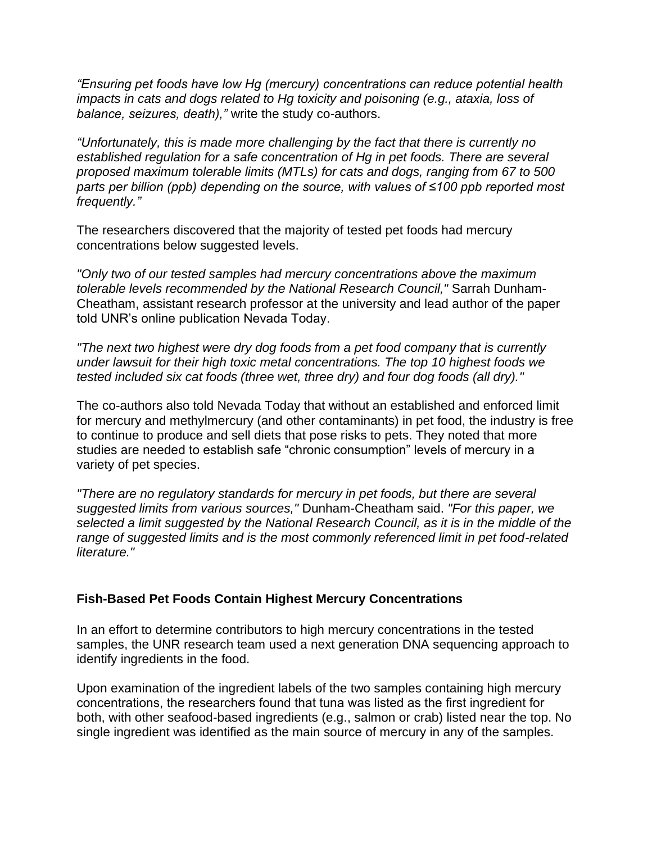*"Ensuring pet foods have low Hg (mercury) concentrations can reduce potential health impacts in cats and dogs related to Hg toxicity and poisoning (e.g., ataxia, loss of balance, seizures, death),"* write the study co-authors.

*"Unfortunately, this is made more challenging by the fact that there is currently no established regulation for a safe concentration of Hg in pet foods. There are several proposed maximum tolerable limits (MTLs) for cats and dogs, ranging from 67 to 500 parts per billion (ppb) depending on the source, with values of ≤100 ppb reported most frequently."*

The researchers discovered that the majority of tested pet foods had mercury concentrations below suggested levels.

*"Only two of our tested samples had mercury concentrations above the maximum tolerable levels recommended by the National Research Council,"* Sarrah Dunham-Cheatham, assistant research professor at the university and lead author of the paper told UNR's online publication Nevada Today.

*"The next two highest were dry dog foods from a pet food company that is currently under lawsuit for their high toxic metal concentrations. The top 10 highest foods we tested included six cat foods (three wet, three dry) and four dog foods (all dry)."*

The co-authors also told Nevada Today that without an established and enforced limit for mercury and methylmercury (and other contaminants) in pet food, the industry is free to continue to produce and sell diets that pose risks to pets. They noted that more studies are needed to establish safe "chronic consumption" levels of mercury in a variety of pet species.

*"There are no regulatory standards for mercury in pet foods, but there are several suggested limits from various sources,"* Dunham-Cheatham said. *"For this paper, we selected a limit suggested by the National Research Council, as it is in the middle of the range of suggested limits and is the most commonly referenced limit in pet food-related literature."*

#### **Fish-Based Pet Foods Contain Highest Mercury Concentrations**

In an effort to determine contributors to high mercury concentrations in the tested samples, the UNR research team used a next generation DNA sequencing approach to identify ingredients in the food.

Upon examination of the ingredient labels of the two samples containing high mercury concentrations, the researchers found that tuna was listed as the first ingredient for both, with other seafood-based ingredients (e.g., salmon or crab) listed near the top. No single ingredient was identified as the main source of mercury in any of the samples.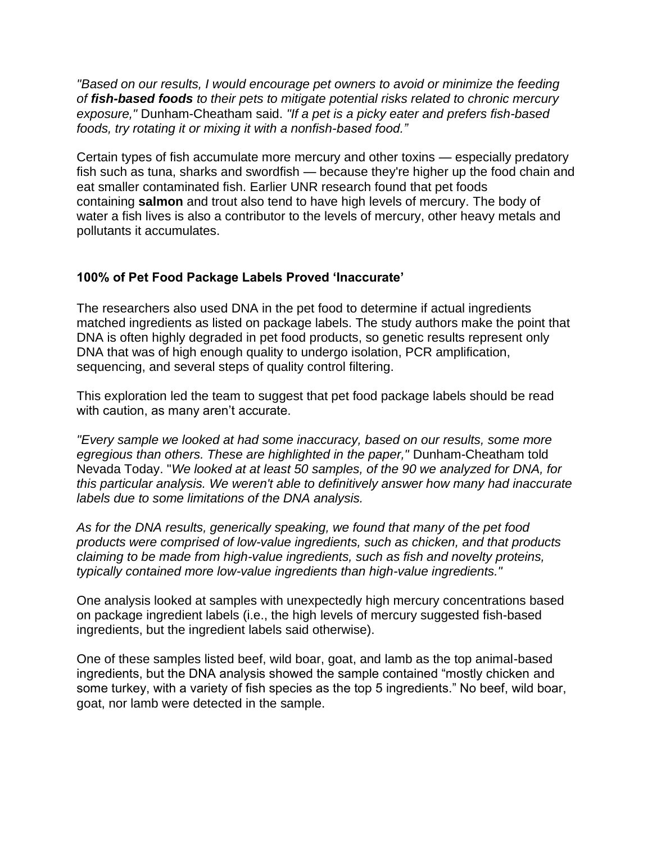*"Based on our results, I would encourage pet owners to avoid or minimize the feeding of fish-based foods to their pets to mitigate potential risks related to chronic mercury exposure,"* Dunham-Cheatham said. *"If a pet is a picky eater and prefers fish-based foods, try rotating it or mixing it with a nonfish-based food."*

Certain types of fish accumulate more mercury and other toxins — especially predatory fish such as tuna, sharks and swordfish — because they're higher up the food chain and eat smaller contaminated fish. Earlier UNR research found that pet foods containing **salmon** and trout also tend to have high levels of mercury. The body of water a fish lives is also a contributor to the levels of mercury, other heavy metals and pollutants it accumulates.

### **100% of Pet Food Package Labels Proved 'Inaccurate'**

The researchers also used DNA in the pet food to determine if actual ingredients matched ingredients as listed on package labels. The study authors make the point that DNA is often highly degraded in pet food products, so genetic results represent only DNA that was of high enough quality to undergo isolation, PCR amplification, sequencing, and several steps of quality control filtering.

This exploration led the team to suggest that pet food package labels should be read with caution, as many aren't accurate.

*"Every sample we looked at had some inaccuracy, based on our results, some more egregious than others. These are highlighted in the paper,"* Dunham-Cheatham told Nevada Today. "*We looked at at least 50 samples, of the 90 we analyzed for DNA, for this particular analysis. We weren't able to definitively answer how many had inaccurate labels due to some limitations of the DNA analysis.*

*As for the DNA results, generically speaking, we found that many of the pet food products were comprised of low-value ingredients, such as chicken, and that products claiming to be made from high-value ingredients, such as fish and novelty proteins, typically contained more low-value ingredients than high-value ingredients."*

One analysis looked at samples with unexpectedly high mercury concentrations based on package ingredient labels (i.e., the high levels of mercury suggested fish-based ingredients, but the ingredient labels said otherwise).

One of these samples listed beef, wild boar, goat, and lamb as the top animal-based ingredients, but the DNA analysis showed the sample contained "mostly chicken and some turkey, with a variety of fish species as the top 5 ingredients." No beef, wild boar, goat, nor lamb were detected in the sample.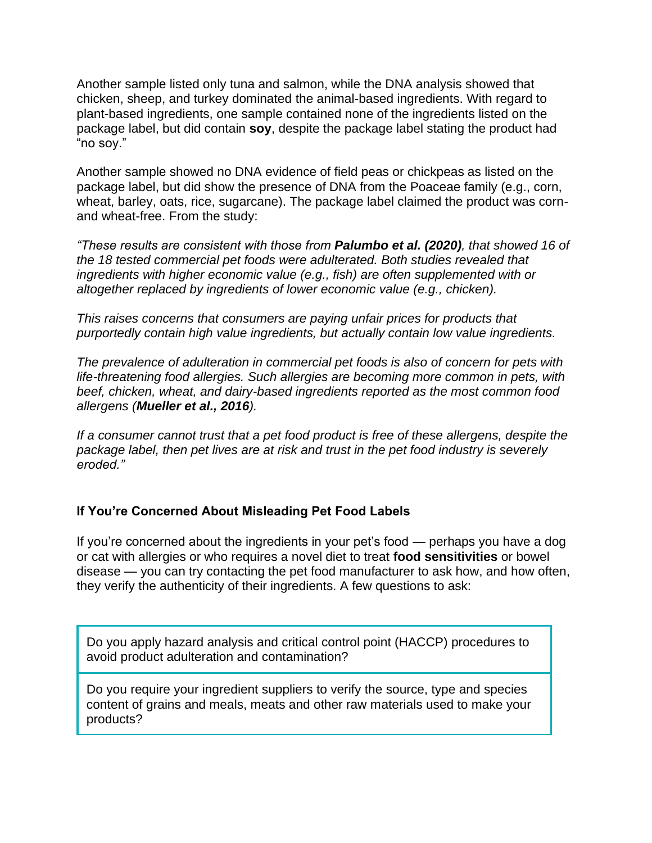Another sample listed only tuna and salmon, while the DNA analysis showed that chicken, sheep, and turkey dominated the animal-based ingredients. With regard to plant-based ingredients, one sample contained none of the ingredients listed on the package label, but did contain **soy**, despite the package label stating the product had "no soy."

Another sample showed no DNA evidence of field peas or chickpeas as listed on the package label, but did show the presence of DNA from the Poaceae family (e.g., corn, wheat, barley, oats, rice, sugarcane). The package label claimed the product was cornand wheat-free. From the study:

*"These results are consistent with those from Palumbo et al. (2020), that showed 16 of the 18 tested commercial pet foods were adulterated. Both studies revealed that ingredients with higher economic value (e.g., fish) are often supplemented with or altogether replaced by ingredients of lower economic value (e.g., chicken).*

*This raises concerns that consumers are paying unfair prices for products that purportedly contain high value ingredients, but actually contain low value ingredients.*

*The prevalence of adulteration in commercial pet foods is also of concern for pets with life-threatening food allergies. Such allergies are becoming more common in pets, with beef, chicken, wheat, and dairy-based ingredients reported as the most common food allergens (Mueller et al., 2016).*

*If a consumer cannot trust that a pet food product is free of these allergens, despite the package label, then pet lives are at risk and trust in the pet food industry is severely eroded."*

## **If You're Concerned About Misleading Pet Food Labels**

If you're concerned about the ingredients in your pet's food — perhaps you have a dog or cat with allergies or who requires a novel diet to treat **food sensitivities** or bowel disease — you can try contacting the pet food manufacturer to ask how, and how often, they verify the authenticity of their ingredients. A few questions to ask:

Do you apply hazard analysis and critical control point (HACCP) procedures to avoid product adulteration and contamination?

Do you require your ingredient suppliers to verify the source, type and species content of grains and meals, meats and other raw materials used to make your products?